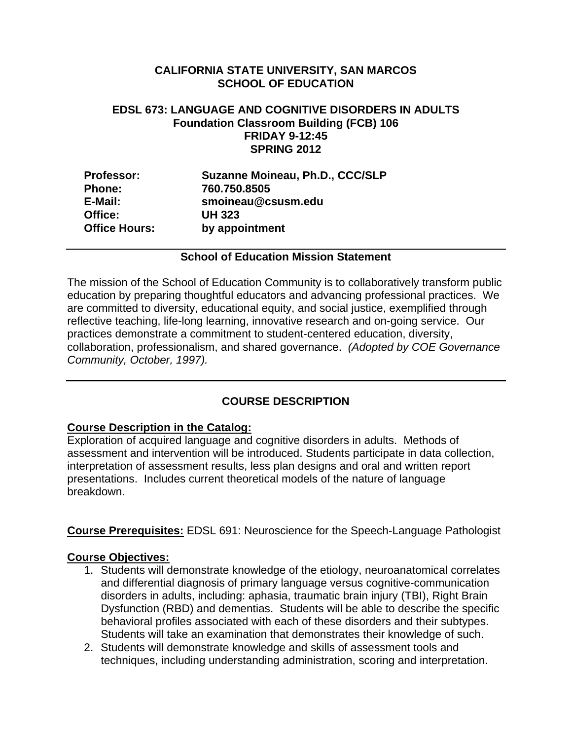## **CALIFORNIA STATE UNIVERSITY, SAN MARCOS SCHOOL OF EDUCATION**

#### **EDSL 673: LANGUAGE AND COGNITIVE DISORDERS IN ADULTS Foundation Classroom Building (FCB) 106 FRIDAY 9-12:45 SPRING 2012**

| <b>Professor:</b>    | Suzanne Moineau, Ph.D., CCC/SLP |
|----------------------|---------------------------------|
| <b>Phone:</b>        | 760.750.8505                    |
| E-Mail:              | smoineau@csusm.edu              |
| Office:              | <b>UH 323</b>                   |
| <b>Office Hours:</b> | by appointment                  |

#### **School of Education Mission Statement**

The mission of the School of Education Community is to collaboratively transform public education by preparing thoughtful educators and advancing professional practices. We are committed to diversity, educational equity, and social justice, exemplified through reflective teaching, life-long learning, innovative research and on-going service. Our practices demonstrate a commitment to student-centered education, diversity, collaboration, professionalism, and shared governance. *(Adopted by COE Governance Community, October, 1997).* 

## **COURSE DESCRIPTION**

#### **Course Description in the Catalog:**

Exploration of acquired language and cognitive disorders in adults. Methods of assessment and intervention will be introduced. Students participate in data collection, interpretation of assessment results, less plan designs and oral and written report presentations. Includes current theoretical models of the nature of language breakdown.

**Course Prerequisites:** EDSL 691: Neuroscience for the Speech-Language Pathologist

#### **Course Objectives:**

- 1. Students will demonstrate knowledge of the etiology, neuroanatomical correlates and differential diagnosis of primary language versus cognitive-communication disorders in adults, including: aphasia, traumatic brain injury (TBI), Right Brain Dysfunction (RBD) and dementias. Students will be able to describe the specific behavioral profiles associated with each of these disorders and their subtypes. Students will take an examination that demonstrates their knowledge of such.
- 2. Students will demonstrate knowledge and skills of assessment tools and techniques, including understanding administration, scoring and interpretation.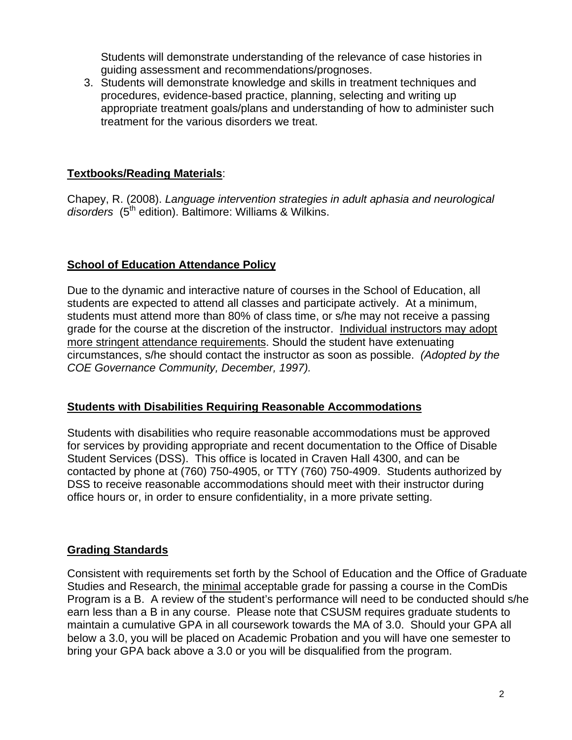Students will demonstrate understanding of the relevance of case histories in guiding assessment and recommendations/prognoses.

3. Students will demonstrate knowledge and skills in treatment techniques and procedures, evidence-based practice, planning, selecting and writing up appropriate treatment goals/plans and understanding of how to administer such treatment for the various disorders we treat.

## **Textbooks/Reading Materials**:

Chapey, R. (2008). *Language intervention strategies in adult aphasia and neurological disorders* (5th edition). Baltimore: Williams & Wilkins.

## **School of Education Attendance Policy**

 *COE Governance Community, December, 1997).* Due to the dynamic and interactive nature of courses in the School of Education, all students are expected to attend all classes and participate actively. At a minimum, students must attend more than 80% of class time, or s/he may not receive a passing grade for the course at the discretion of the instructor. Individual instructors may adopt more stringent attendance requirements. Should the student have extenuating circumstances, s/he should contact the instructor as soon as possible. *(Adopted by the* 

#### **Students with Disabilities Requiring Reasonable Accommodations**

Students with disabilities who require reasonable accommodations must be approved for services by providing appropriate and recent documentation to the Office of Disable Student Services (DSS). This office is located in Craven Hall 4300, and can be contacted by phone at (760) 750-4905, or TTY (760) 750-4909. Students authorized by DSS to receive reasonable accommodations should meet with their instructor during office hours or, in order to ensure confidentiality, in a more private setting.

#### **Grading Standards**

Consistent with requirements set forth by the School of Education and the Office of Graduate Studies and Research, the minimal acceptable grade for passing a course in the ComDis Program is a B. A review of the student's performance will need to be conducted should s/he earn less than a B in any course. Please note that CSUSM requires graduate students to maintain a cumulative GPA in all coursework towards the MA of 3.0. Should your GPA all below a 3.0, you will be placed on Academic Probation and you will have one semester to bring your GPA back above a 3.0 or you will be disqualified from the program.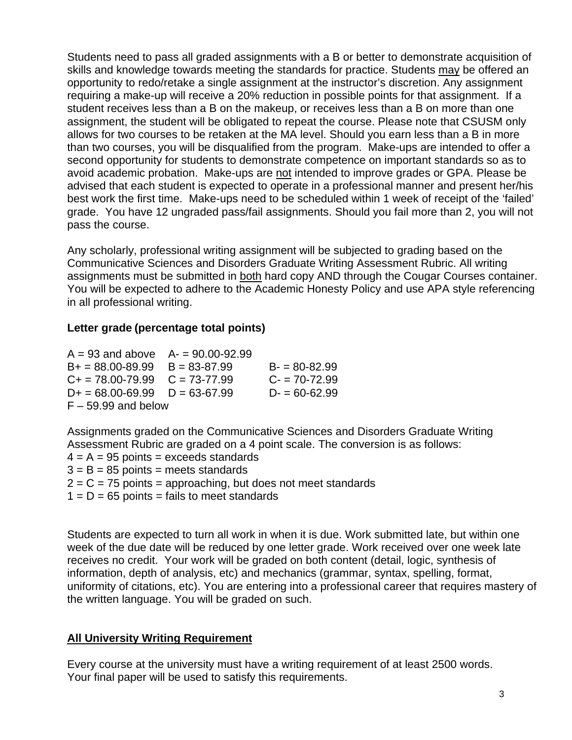Students need to pass all graded assignments with a B or better to demonstrate acquisition of skills and knowledge towards meeting the standards for practice. Students may be offered an opportunity to redo/retake a single assignment at the instructor's discretion. Any assignment requiring a make-up will receive a 20% reduction in possible points for that assignment. If a student receives less than a B on the makeup, or receives less than a B on more than one assignment, the student will be obligated to repeat the course. Please note that CSUSM only allows for two courses to be retaken at the MA level. Should you earn less than a B in more than two courses, you will be disqualified from the program. Make-ups are intended to offer a second opportunity for students to demonstrate competence on important standards so as to avoid academic probation. Make-ups are not intended to improve grades or GPA. Please be advised that each student is expected to operate in a professional manner and present her/his best work the first time. Make-ups need to be scheduled within 1 week of receipt of the 'failed' grade. You have 12 ungraded pass/fail assignments. Should you fail more than 2, you will not pass the course.

Any scholarly, professional writing assignment will be subjected to grading based on the Communicative Sciences and Disorders Graduate Writing Assessment Rubric. All writing assignments must be submitted in both hard copy AND through the Cougar Courses container. You will be expected to adhere to the Academic Honesty Policy and use APA style referencing in all professional writing.

## **Letter grade (percentage total points)**

| $A = 93$ and above $A = 90.00 - 92.99$ |  |                  |  |  |
|----------------------------------------|--|------------------|--|--|
| $B+ = 88.00 - 89.99$ $B = 83 - 87.99$  |  | $B = 80 - 82.99$ |  |  |
| $C_+ = 78.00 - 79.99$ $C = 73 - 77.99$ |  | $C = 70 - 72.99$ |  |  |
| $D+ = 68.00 - 69.99$ $D = 63 - 67.99$  |  | $D = 60 - 62.99$ |  |  |
| $F - 59.99$ and below                  |  |                  |  |  |

Assignments graded on the Communicative Sciences and Disorders Graduate Writing Assessment Rubric are graded on a 4 point scale. The conversion is as follows:  $4 = A = 95$  points = exceeds standards  $3 = B = 85$  points = meets standards  $2 = C = 75$  points = approaching, but does not meet standards

 $1 = D = 65$  points = fails to meet standards

Students are expected to turn all work in when it is due. Work submitted late, but within one week of the due date will be reduced by one letter grade. Work received over one week late receives no credit. Your work will be graded on both content (detail, logic, synthesis of information, depth of analysis, etc) and mechanics (grammar, syntax, spelling, format, uniformity of citations, etc). You are entering into a professional career that requires mastery of the written language. You will be graded on such.

#### **All University Writing Requirement**

Every course at the university must have a writing requirement of at least 2500 words. Your final paper will be used to satisfy this requirements.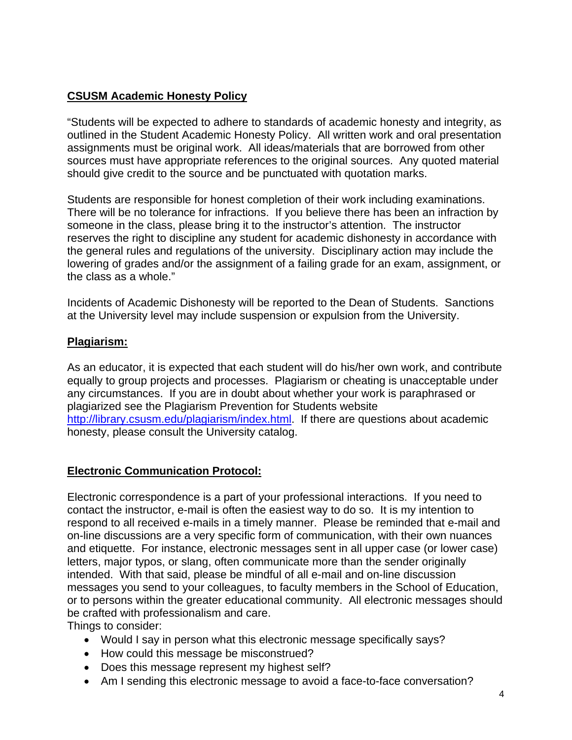## **CSUSM Academic Honesty Policy**

"Students will be expected to adhere to standards of academic honesty and integrity, as outlined in the Student Academic Honesty Policy. All written work and oral presentation assignments must be original work. All ideas/materials that are borrowed from other sources must have appropriate references to the original sources. Any quoted material should give credit to the source and be punctuated with quotation marks.

Students are responsible for honest completion of their work including examinations. There will be no tolerance for infractions. If you believe there has been an infraction by someone in the class, please bring it to the instructor's attention. The instructor reserves the right to discipline any student for academic dishonesty in accordance with the general rules and regulations of the university. Disciplinary action may include the lowering of grades and/or the assignment of a failing grade for an exam, assignment, or the class as a whole."

Incidents of Academic Dishonesty will be reported to the Dean of Students. Sanctions at the University level may include suspension or expulsion from the University.

## **Plagiarism:**

As an educator, it is expected that each student will do his/her own work, and contribute equally to group projects and processes. Plagiarism or cheating is unacceptable under any circumstances. If you are in doubt about whether your work is paraphrased or plagiarized see the Plagiarism Prevention for Students website http://library.csusm.edu/plagiarism/index.html. If there are questions about academic honesty, please consult the University catalog.

## **Electronic Communication Protocol:**

Electronic correspondence is a part of your professional interactions. If you need to contact the instructor, e-mail is often the easiest way to do so. It is my intention to respond to all received e-mails in a timely manner. Please be reminded that e-mail and on-line discussions are a very specific form of communication, with their own nuances and etiquette. For instance, electronic messages sent in all upper case (or lower case) letters, major typos, or slang, often communicate more than the sender originally intended. With that said, please be mindful of all e-mail and on-line discussion messages you send to your colleagues, to faculty members in the School of Education, or to persons within the greater educational community. All electronic messages should be crafted with professionalism and care.

Things to consider:

- Would I say in person what this electronic message specifically says?
- How could this message be misconstrued?
- Does this message represent my highest self?
- Am I sending this electronic message to avoid a face-to-face conversation?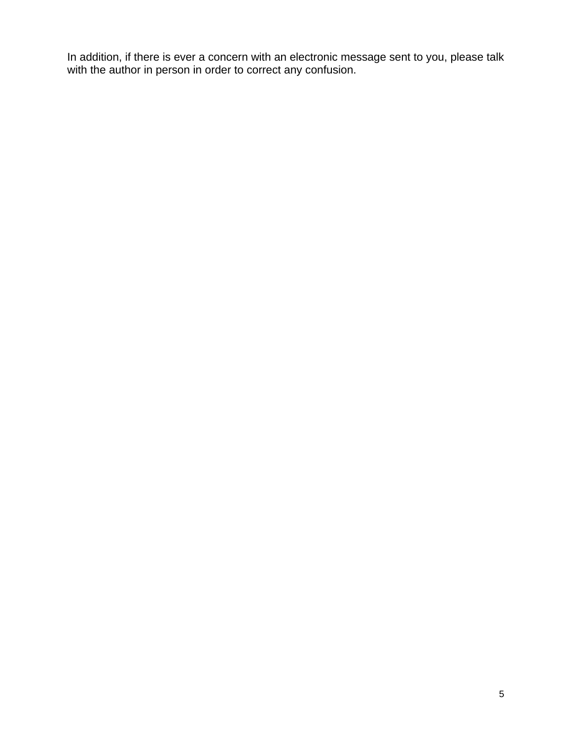In addition, if there is ever a concern with an electronic message sent to you, please talk with the author in person in order to correct any confusion.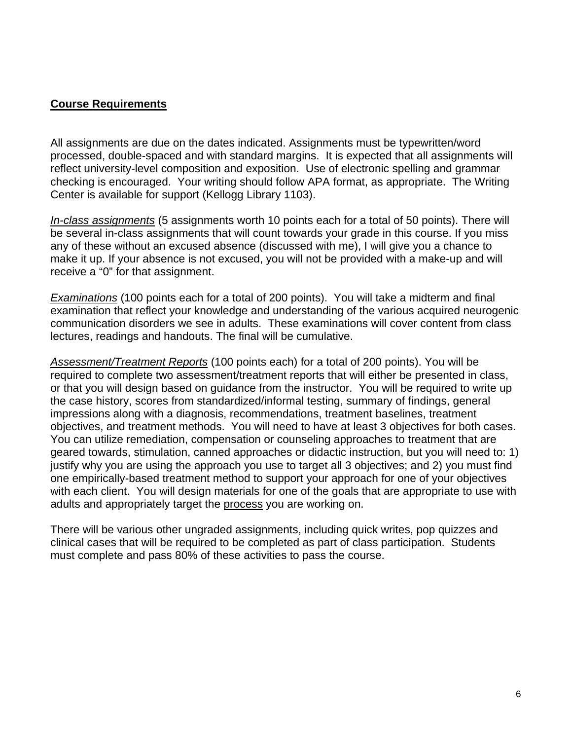#### **Course Requirements**

All assignments are due on the dates indicated. Assignments must be typewritten/word processed, double-spaced and with standard margins. It is expected that all assignments will reflect university-level composition and exposition. Use of electronic spelling and grammar checking is encouraged. Your writing should follow APA format, as appropriate. The Writing Center is available for support (Kellogg Library 1103).

*In-class assignments* (5 assignments worth 10 points each for a total of 50 points). There will be several in-class assignments that will count towards your grade in this course. If you miss any of these without an excused absence (discussed with me), I will give you a chance to make it up. If your absence is not excused, you will not be provided with a make-up and will receive a "0" for that assignment.

*Examinations* (100 points each for a total of 200 points). You will take a midterm and final examination that reflect your knowledge and understanding of the various acquired neurogenic communication disorders we see in adults. These examinations will cover content from class lectures, readings and handouts. The final will be cumulative.

*Assessment/Treatment Reports* (100 points each) for a total of 200 points). You will be required to complete two assessment/treatment reports that will either be presented in class, or that you will design based on guidance from the instructor. You will be required to write up the case history, scores from standardized/informal testing, summary of findings, general impressions along with a diagnosis, recommendations, treatment baselines, treatment objectives, and treatment methods. You will need to have at least 3 objectives for both cases. You can utilize remediation, compensation or counseling approaches to treatment that are geared towards, stimulation, canned approaches or didactic instruction, but you will need to: 1) justify why you are using the approach you use to target all 3 objectives; and 2) you must find one empirically-based treatment method to support your approach for one of your objectives with each client. You will design materials for one of the goals that are appropriate to use with adults and appropriately target the process you are working on.

There will be various other ungraded assignments, including quick writes, pop quizzes and clinical cases that will be required to be completed as part of class participation. Students must complete and pass 80% of these activities to pass the course.